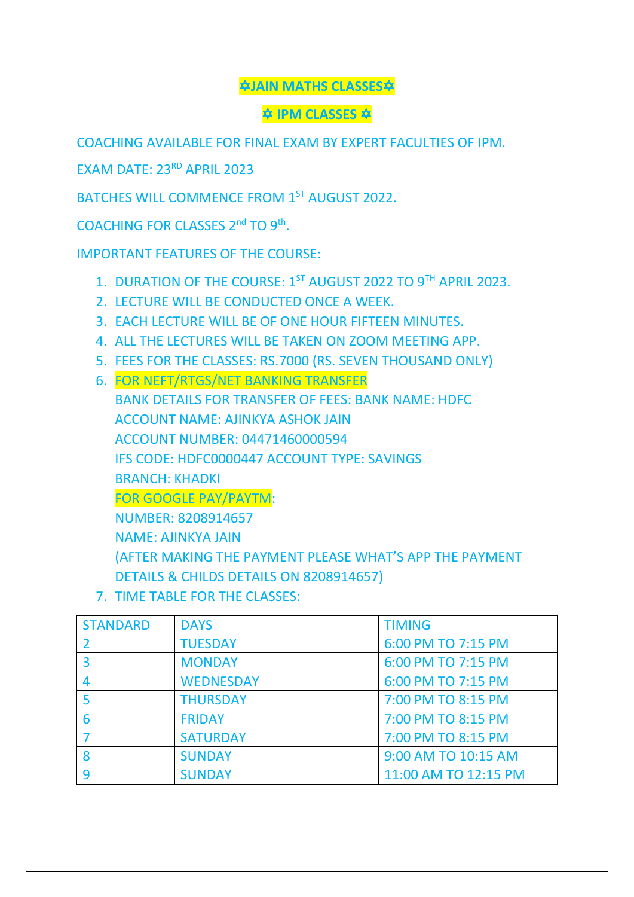**JAIN MATHS CLASSES**

**IPM CLASSES** 

COACHING AVAILABLE FOR FINAL EXAM BY EXPERT FACULTIES OF IPM.

EXAM DATE: 23<sup>RD</sup> APRIL 2023

BATCHES WILL COMMENCE FROM 1<sup>ST</sup> AUGUST 2022.

COACHING FOR CLASSES 2<sup>nd</sup> TO 9<sup>th</sup>.

IMPORTANT FEATURES OF THE COURSE:

- 1. DURATION OF THE COURSE: 1<sup>ST</sup> AUGUST 2022 TO 9<sup>TH</sup> APRIL 2023.
- 2. LECTURE WILL BE CONDUCTED ONCE A WEEK.
- 3. EACH LECTURE WILL BE OF ONE HOUR FIFTEEN MINUTES.
- 4. ALL THE LECTURES WILL BE TAKEN ON ZOOM MEETING APP.
- 5. FEES FOR THE CLASSES: RS.7000 (RS. SEVEN THOUSAND ONLY)
- 6. FOR NEFT/RTGS/NET BANKING TRANSFER

BANK DETAILS FOR TRANSFER OF FEES: BANK NAME: HDFC ACCOUNT NAME: AJINKYA ASHOK JAIN ACCOUNT NUMBER: 04471460000594 IFS CODE: HDFC0000447 ACCOUNT TYPE: SAVINGS BRANCH: KHADKI FOR GOOGLE PAY/PAYTM: NUMBER: 8208914657 NAME: AJINKYA JAIN (AFTER MAKING THE PAYMENT PLEASE WHAT'S APP THE PAYMENT DETAILS & CHILDS DETAILS ON 8208914657)

7. TIME TABLE FOR THE CLASSES:

| <b>STANDARD</b> | <b>DAYS</b>      | <b>TIMING</b>        |
|-----------------|------------------|----------------------|
|                 | <b>TUESDAY</b>   | 6:00 PM TO 7:15 PM   |
|                 | <b>MONDAY</b>    | 6:00 PM TO 7:15 PM   |
| 4               | <b>WEDNESDAY</b> | 6:00 PM TO 7:15 PM   |
|                 | <b>THURSDAY</b>  | 7:00 PM TO 8:15 PM   |
| 6               | <b>FRIDAY</b>    | 7:00 PM TO 8:15 PM   |
|                 | <b>SATURDAY</b>  | 7:00 PM TO 8:15 PM   |
| 8               | <b>SUNDAY</b>    | 9:00 AM TO 10:15 AM  |
| 9               | <b>SUNDAY</b>    | 11:00 AM TO 12:15 PM |